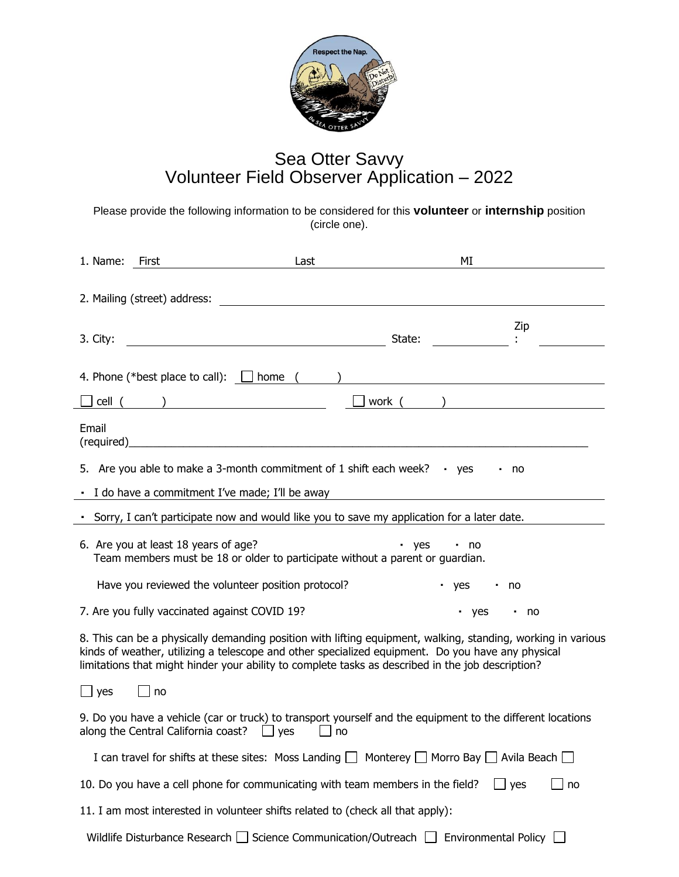

## Sea Otter Savvy Volunteer Field Observer Application – 2022

Please provide the following information to be considered for this **volunteer** or **internship** position (circle one).

| 1. Name:                                                                                                                                                                                                                                                                                                               | First                                                                                                                 | Last       | MI                  |       |
|------------------------------------------------------------------------------------------------------------------------------------------------------------------------------------------------------------------------------------------------------------------------------------------------------------------------|-----------------------------------------------------------------------------------------------------------------------|------------|---------------------|-------|
|                                                                                                                                                                                                                                                                                                                        | 2. Mailing (street) address:                                                                                          |            |                     |       |
| 3. City:                                                                                                                                                                                                                                                                                                               |                                                                                                                       |            | State:              | Zip   |
|                                                                                                                                                                                                                                                                                                                        | 4. Phone (*best place to call): $\Box$ home ( )                                                                       |            |                     |       |
|                                                                                                                                                                                                                                                                                                                        | cell ( )                                                                                                              | __J work ( |                     |       |
| Email                                                                                                                                                                                                                                                                                                                  | $(required)$ $\qquad \qquad$                                                                                          |            |                     |       |
|                                                                                                                                                                                                                                                                                                                        | 5. Are you able to make a 3-month commitment of 1 shift each week? $\cdot$ yes                                        |            |                     | no no |
|                                                                                                                                                                                                                                                                                                                        | - I do have a commitment I've made; I'll be away                                                                      |            |                     |       |
|                                                                                                                                                                                                                                                                                                                        | · Sorry, I can't participate now and would like you to save my application for a later date.                          |            |                     |       |
|                                                                                                                                                                                                                                                                                                                        | 6. Are you at least 18 years of age?<br>Team members must be 18 or older to participate without a parent or quardian. |            | • yes<br>$\cdot$ no |       |
|                                                                                                                                                                                                                                                                                                                        | Have you reviewed the volunteer position protocol?                                                                    |            | · yes<br>٠          | no    |
|                                                                                                                                                                                                                                                                                                                        | 7. Are you fully vaccinated against COVID 19?                                                                         |            | yes .               | . no  |
| 8. This can be a physically demanding position with lifting equipment, walking, standing, working in various<br>kinds of weather, utilizing a telescope and other specialized equipment. Do you have any physical<br>limitations that might hinder your ability to complete tasks as described in the job description? |                                                                                                                       |            |                     |       |
| $\overline{\phantom{a}}$ yes                                                                                                                                                                                                                                                                                           | no                                                                                                                    |            |                     |       |
| 9. Do you have a vehicle (car or truck) to transport yourself and the equipment to the different locations<br>along the Central California coast? $\Box$ yes<br>$\Box$ no                                                                                                                                              |                                                                                                                       |            |                     |       |
|                                                                                                                                                                                                                                                                                                                        | I can travel for shifts at these sites: Moss Landing $\Box$ Monterey $\Box$ Morro Bay $\Box$ Avila Beach $\Box$       |            |                     |       |
| 10. Do you have a cell phone for communicating with team members in the field?<br>yes<br>no<br>$\Box$                                                                                                                                                                                                                  |                                                                                                                       |            |                     |       |
| 11. I am most interested in volunteer shifts related to (check all that apply):                                                                                                                                                                                                                                        |                                                                                                                       |            |                     |       |
|                                                                                                                                                                                                                                                                                                                        | Wildlife Disturbance Research □ Science Communication/Outreach □ Environmental Policy □                               |            |                     |       |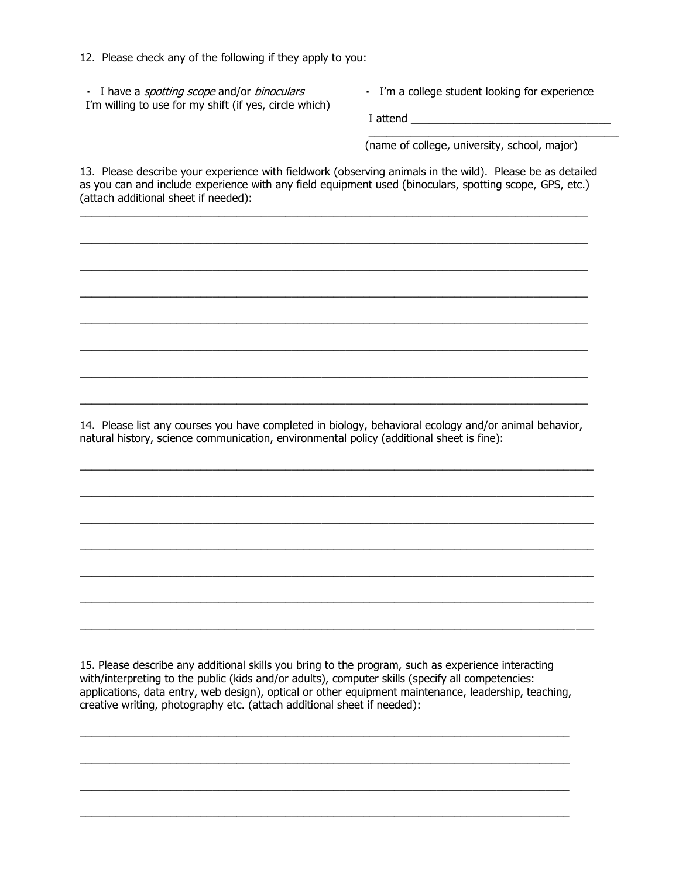12. Please check any of the following if they apply to you:

I have a *spotting scope* and/or *binoculars* I'm willing to use for my shift (if yes, circle which) I'm a college student looking for experience

\_\_\_\_\_\_\_\_\_\_\_\_\_\_\_\_\_\_\_\_\_\_\_\_\_\_\_\_\_\_\_\_\_\_\_\_\_\_\_\_\_\_\_\_\_

I attend \_\_\_\_\_\_\_\_\_\_\_\_\_\_\_\_\_\_\_\_\_\_\_\_\_\_\_\_\_\_\_\_\_

(name of college, university, school, major)

13. Please describe your experience with fieldwork (observing animals in the wild). Please be as detailed as you can and include experience with any field equipment used (binoculars, spotting scope, GPS, etc.) (attach additional sheet if needed):

 $\_$  , and the state of the state of the state of the state of the state of the state of the state of the state of the state of the state of the state of the state of the state of the state of the state of the state of the

 $\_$  ,  $\_$  ,  $\_$  ,  $\_$  ,  $\_$  ,  $\_$  ,  $\_$  ,  $\_$  ,  $\_$  ,  $\_$  ,  $\_$  ,  $\_$  ,  $\_$  ,  $\_$  ,  $\_$  ,  $\_$  ,  $\_$  ,  $\_$  ,  $\_$  ,  $\_$  ,  $\_$  ,  $\_$  ,  $\_$  ,  $\_$  ,  $\_$  ,  $\_$  ,  $\_$  ,  $\_$  ,  $\_$  ,  $\_$  ,  $\_$  ,  $\_$  ,  $\_$  ,  $\_$  ,  $\_$  ,  $\_$  ,  $\_$  ,

\_\_\_\_\_\_\_\_\_\_\_\_\_\_\_\_\_\_\_\_\_\_\_\_\_\_\_\_\_\_\_\_\_\_\_\_\_\_\_\_\_\_\_\_\_\_\_\_\_\_\_\_\_\_\_\_\_\_\_\_\_\_\_\_\_\_\_\_\_\_\_\_\_\_\_\_\_\_\_\_\_\_\_\_

 $\_$  ,  $\_$  ,  $\_$  ,  $\_$  ,  $\_$  ,  $\_$  ,  $\_$  ,  $\_$  ,  $\_$  ,  $\_$  ,  $\_$  ,  $\_$  ,  $\_$  ,  $\_$  ,  $\_$  ,  $\_$  ,  $\_$  ,  $\_$  ,  $\_$  ,  $\_$  ,  $\_$  ,  $\_$  ,  $\_$  ,  $\_$  ,  $\_$  ,  $\_$  ,  $\_$  ,  $\_$  ,  $\_$  ,  $\_$  ,  $\_$  ,  $\_$  ,  $\_$  ,  $\_$  ,  $\_$  ,  $\_$  ,  $\_$  ,

 $\_$  ,  $\_$  ,  $\_$  ,  $\_$  ,  $\_$  ,  $\_$  ,  $\_$  ,  $\_$  ,  $\_$  ,  $\_$  ,  $\_$  ,  $\_$  ,  $\_$  ,  $\_$  ,  $\_$  ,  $\_$  ,  $\_$  ,  $\_$  ,  $\_$  ,  $\_$  ,  $\_$  ,  $\_$  ,  $\_$  ,  $\_$  ,  $\_$  ,  $\_$  ,  $\_$  ,  $\_$  ,  $\_$  ,  $\_$  ,  $\_$  ,  $\_$  ,  $\_$  ,  $\_$  ,  $\_$  ,  $\_$  ,  $\_$  ,

 $\_$  ,  $\_$  ,  $\_$  ,  $\_$  ,  $\_$  ,  $\_$  ,  $\_$  ,  $\_$  ,  $\_$  ,  $\_$  ,  $\_$  ,  $\_$  ,  $\_$  ,  $\_$  ,  $\_$  ,  $\_$  ,  $\_$  ,  $\_$  ,  $\_$  ,  $\_$  ,  $\_$  ,  $\_$  ,  $\_$  ,  $\_$  ,  $\_$  ,  $\_$  ,  $\_$  ,  $\_$  ,  $\_$  ,  $\_$  ,  $\_$  ,  $\_$  ,  $\_$  ,  $\_$  ,  $\_$  ,  $\_$  ,  $\_$  ,

 $\_$  ,  $\_$  ,  $\_$  ,  $\_$  ,  $\_$  ,  $\_$  ,  $\_$  ,  $\_$  ,  $\_$  ,  $\_$  ,  $\_$  ,  $\_$  ,  $\_$  ,  $\_$  ,  $\_$  ,  $\_$  ,  $\_$  ,  $\_$  ,  $\_$  ,  $\_$  ,  $\_$  ,  $\_$  ,  $\_$  ,  $\_$  ,  $\_$  ,  $\_$  ,  $\_$  ,  $\_$  ,  $\_$  ,  $\_$  ,  $\_$  ,  $\_$  ,  $\_$  ,  $\_$  ,  $\_$  ,  $\_$  ,  $\_$  ,

 $\_$  ,  $\_$  ,  $\_$  ,  $\_$  ,  $\_$  ,  $\_$  ,  $\_$  ,  $\_$  ,  $\_$  ,  $\_$  ,  $\_$  ,  $\_$  ,  $\_$  ,  $\_$  ,  $\_$  ,  $\_$  ,  $\_$  ,  $\_$  ,  $\_$  ,  $\_$  ,  $\_$  ,  $\_$  ,  $\_$  ,  $\_$  ,  $\_$  ,  $\_$  ,  $\_$  ,  $\_$  ,  $\_$  ,  $\_$  ,  $\_$  ,  $\_$  ,  $\_$  ,  $\_$  ,  $\_$  ,  $\_$  ,  $\_$  ,

14. Please list any courses you have completed in biology, behavioral ecology and/or animal behavior, natural history, science communication, environmental policy (additional sheet is fine):

 $\_$  , and the state of the state of the state of the state of the state of the state of the state of the state of the state of the state of the state of the state of the state of the state of the state of the state of the

 $\_$  , and the state of the state of the state of the state of the state of the state of the state of the state of the state of the state of the state of the state of the state of the state of the state of the state of the

 $\_$  , and the set of the set of the set of the set of the set of the set of the set of the set of the set of the set of the set of the set of the set of the set of the set of the set of the set of the set of the set of th

 $\_$  , and the state of the state of the state of the state of the state of the state of the state of the state of the state of the state of the state of the state of the state of the state of the state of the state of the

 $\_$  , and the state of the state of the state of the state of the state of the state of the state of the state of the state of the state of the state of the state of the state of the state of the state of the state of the

 $\_$  , and the state of the state of the state of the state of the state of the state of the state of the state of the state of the state of the state of the state of the state of the state of the state of the state of the

 $\_$  , and the set of the set of the set of the set of the set of the set of the set of the set of the set of the set of the set of the set of the set of the set of the set of the set of the set of the set of the set of th

15. Please describe any additional skills you bring to the program, such as experience interacting with/interpreting to the public (kids and/or adults), computer skills (specify all competencies: applications, data entry, web design), optical or other equipment maintenance, leadership, teaching, creative writing, photography etc. (attach additional sheet if needed):

 $\_$  , and the set of the set of the set of the set of the set of the set of the set of the set of the set of the set of the set of the set of the set of the set of the set of the set of the set of the set of the set of th

\_\_\_\_\_\_\_\_\_\_\_\_\_\_\_\_\_\_\_\_\_\_\_\_\_\_\_\_\_\_\_\_\_\_\_\_\_\_\_\_\_\_\_\_\_\_\_\_\_\_\_\_\_\_\_\_\_\_\_\_\_\_\_\_\_\_\_\_\_\_\_\_\_\_\_\_\_\_\_\_\_

 $\_$  , and the set of the set of the set of the set of the set of the set of the set of the set of the set of the set of the set of the set of the set of the set of the set of the set of the set of the set of the set of th

 $\_$  , and the set of the set of the set of the set of the set of the set of the set of the set of the set of the set of the set of the set of the set of the set of the set of the set of the set of the set of the set of th